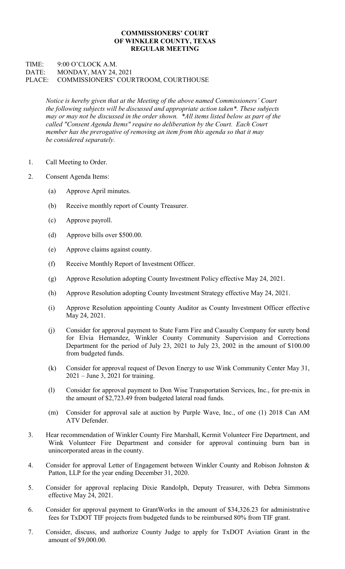## COMMISSIONERS' COURT OF WINKLER COUNTY, TEXAS REGULAR MEETING

## TIME: 9:00 O'CLOCK A.M. DATE: MONDAY, MAY 24, 2021 PLACE: COMMISSIONERS' COURTROOM, COURTHOUSE

Notice is hereby given that at the Meeting of the above named Commissioners' Court the following subjects will be discussed and appropriate action taken\*. These subjects may or may not be discussed in the order shown. \*All items listed below as part of the called "Consent Agenda Items" require no deliberation by the Court. Each Court member has the prerogative of removing an item from this agenda so that it may be considered separately.

- 1. Call Meeting to Order.
- 2. Consent Agenda Items:
	- (a) Approve April minutes.
	- (b) Receive monthly report of County Treasurer.
	- (c) Approve payroll.
	- (d) Approve bills over \$500.00.
	- (e) Approve claims against county.
	- (f) Receive Monthly Report of Investment Officer.
	- (g) Approve Resolution adopting County Investment Policy effective May 24, 2021.
	- (h) Approve Resolution adopting County Investment Strategy effective May 24, 2021.
	- (i) Approve Resolution appointing County Auditor as County Investment Officer effective May 24, 2021.
	- (j) Consider for approval payment to State Farm Fire and Casualty Company for surety bond for Elvia Hernandez, Winkler County Community Supervision and Corrections Department for the period of July 23, 2021 to July 23, 2002 in the amount of \$100.00 from budgeted funds.
	- (k) Consider for approval request of Devon Energy to use Wink Community Center May 31, 2021 – June 3, 2021 for training.
	- (l) Consider for approval payment to Don Wise Transportation Services, Inc., for pre-mix in the amount of \$2,723.49 from budgeted lateral road funds.
	- (m) Consider for approval sale at auction by Purple Wave, Inc., of one (1) 2018 Can AM ATV Defender.
- 3. Hear recommendation of Winkler County Fire Marshall, Kermit Volunteer Fire Department, and Wink Volunteer Fire Department and consider for approval continuing burn ban in unincorporated areas in the county.
- 4. Consider for approval Letter of Engagement between Winkler County and Robison Johnston & Patton, LLP for the year ending December 31, 2020.
- 5. Consider for approval replacing Dixie Randolph, Deputy Treasurer, with Debra Simmons effective May 24, 2021.
- 6. Consider for approval payment to GrantWorks in the amount of \$34,326.23 for administrative fees for TxDOT TIF projects from budgeted funds to be reimbursed 80% from TIF grant.
- 7. Consider, discuss, and authorize County Judge to apply for TxDOT Aviation Grant in the amount of \$9,000.00.